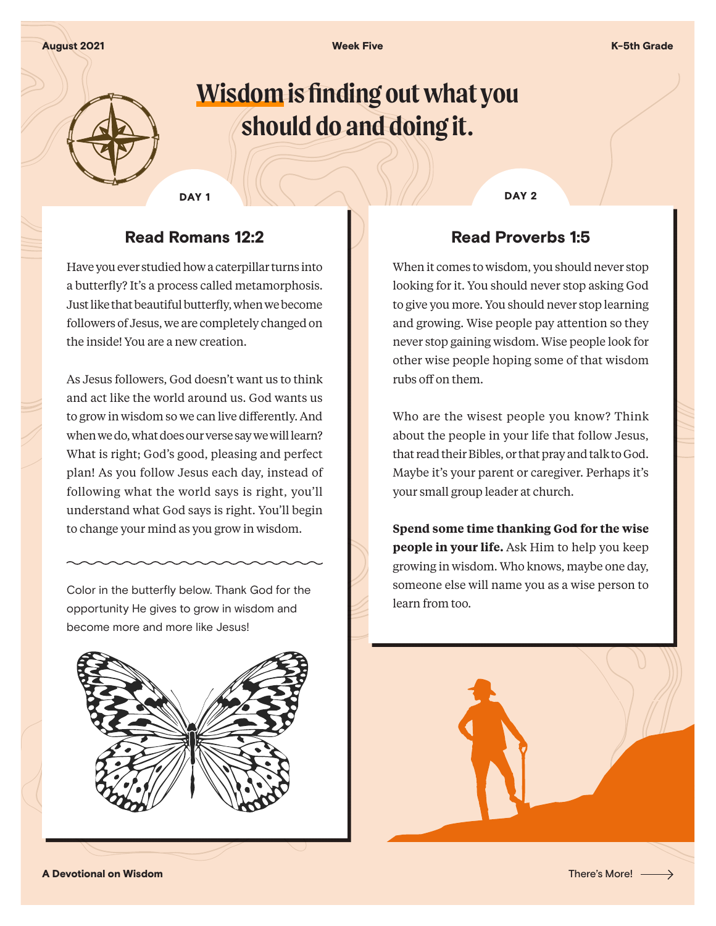August 2021 Week Five K-5th Grade



# **Wisdom is finding out what you should do and doing it.**

DAY 1 DAY 2

## Read Romans 12:2

Have you ever studied how a caterpillar turns into a butterfly? It's a process called metamorphosis. Just like that beautiful butterfly, when we become followers of Jesus, we are completely changed on the inside! You are a new creation.

As Jesus followers, God doesn't want us to think and act like the world around us. God wants us to grow in wisdom so we can live differently. And when we do, what does our verse say we will learn? What is right; God's good, pleasing and perfect plan! As you follow Jesus each day, instead of following what the world says is right, you'll understand what God says is right. You'll begin to change your mind as you grow in wisdom.

Color in the butterfly below. Thank God for the opportunity He gives to grow in wisdom and become more and more like Jesus!



### Read Proverbs 1:5

When it comes to wisdom, you should never stop looking for it. You should never stop asking God to give you more. You should never stop learning and growing. Wise people pay attention so they never stop gaining wisdom. Wise people look for other wise people hoping some of that wisdom rubs off on them.

Who are the wisest people you know? Think about the people in your life that follow Jesus, that read their Bibles, or that pray and talk to God. Maybe it's your parent or caregiver. Perhaps it's your small group leader at church.

**Spend some time thanking God for the wise people in your life.** Ask Him to help you keep growing in wisdom. Who knows, maybe one day, someone else will name you as a wise person to learn from too.



A Devotional on Wisdom